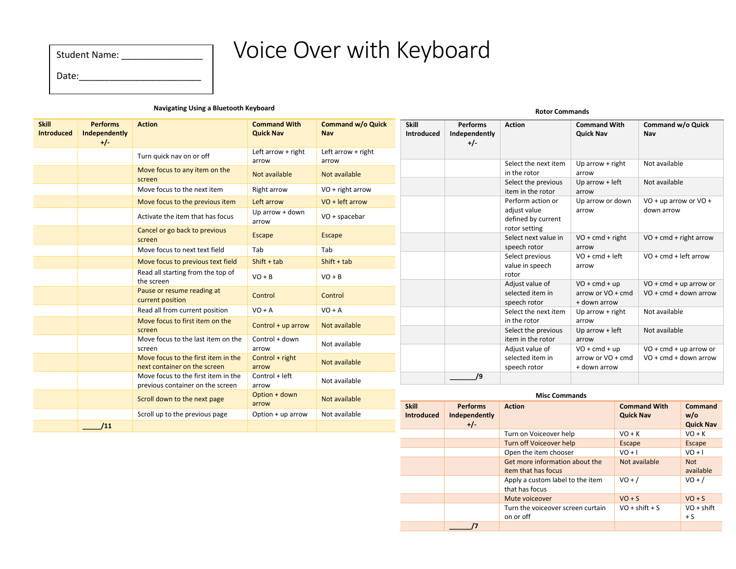| <b>Student Name:</b> |  |
|----------------------|--|
| Date:                |  |

# Voice Over with Keyboard

#### **Navigating Using a Bluetooth Keyboard**

| <b>Skill</b><br><b>Introduced</b> | <b>Performs</b><br>Independently<br>$+/-$ | <b>Action</b>                                                           | <b>Command With</b><br><b>Quick Nav</b> | <b>Command w/o Quick</b><br><b>Nav</b> | <b>Skill</b><br>Introduced | <b>Performs</b><br>Independently<br>$+/-$ | <b>Action</b>                                                | <b>Command With</b><br><b>Quick Nav</b> |                  | Command w/o Quick<br>Nav       |                              |
|-----------------------------------|-------------------------------------------|-------------------------------------------------------------------------|-----------------------------------------|----------------------------------------|----------------------------|-------------------------------------------|--------------------------------------------------------------|-----------------------------------------|------------------|--------------------------------|------------------------------|
|                                   |                                           | Turn quick nav on or off                                                | Left arrow + right<br>arrow             | Left arrow + right<br>arrow            |                            |                                           |                                                              |                                         |                  |                                |                              |
|                                   |                                           | Move focus to any item on the<br>screen                                 | Not available                           | Not available                          |                            |                                           | Select the next item<br>in the rotor                         | Up arrow $+$ right<br>arrow             |                  | Not available<br>Not available |                              |
|                                   |                                           | Move focus to the next item                                             | Right arrow                             | VO + right arrow                       |                            |                                           | Select the previous<br>item in the rotor                     | Up arrow $+$ left<br>arrow              |                  |                                |                              |
|                                   |                                           | Move focus to the previous item                                         | Left arrow                              | $VO + left arrow$                      |                            |                                           | Perform action or                                            | Up arrow or down                        |                  | VO + up arrow or VO +          |                              |
|                                   |                                           | Activate the item that has focus                                        | Up arrow + down<br>arrow                | $VO + spacebar$                        |                            |                                           | adjust value<br>defined by current                           | arrow                                   |                  | down arrow                     |                              |
|                                   |                                           | Cancel or go back to previous<br>screen                                 | <b>Escape</b>                           | Escape                                 |                            |                                           | rotor setting<br>Select next value in                        | $VO + cmd + right$                      |                  | $VO + cmd + right arrow$       |                              |
|                                   |                                           | Move focus to next text field                                           | Tab                                     | Tab                                    |                            |                                           | speech rotor                                                 | arrow                                   |                  | $VO + cmd + left arrow$        |                              |
|                                   |                                           | Move focus to previous text field                                       | $Shift + tab$                           | $Shift + tab$                          |                            |                                           | Select previous<br>value in speech                           | $VO + cmd + left$<br>arrow              |                  |                                |                              |
|                                   |                                           | Read all starting from the top of<br>the screen                         | $VO + B$                                | $VO + B$                               |                            |                                           | rotor<br>Adjust value of                                     | $VO + cmd + up$                         |                  | $VO + cmd + up$ arrow or       |                              |
|                                   |                                           | Pause or resume reading at<br>current position                          | Control                                 | Control                                |                            |                                           | selected item in<br>speech rotor                             | arrow or VO + cmd<br>+ down arrow       |                  | $VO + cmd + down arrow$        |                              |
|                                   |                                           | Read all from current position                                          | $VO + A$                                | $VO + A$                               |                            |                                           | Select the next item                                         | Up arrow $+$ right                      |                  | Not available                  |                              |
|                                   |                                           | Move focus to first item on the<br>screen                               | Control + up arrow                      | Not available                          |                            |                                           | in the rotor<br>Select the previous                          | arrow<br>Up arrow $+$ left              |                  | Not available                  |                              |
|                                   |                                           | Move focus to the last item on the<br>screen                            | Control + down<br>arrow                 | Not available                          |                            |                                           | item in the rotor<br>Adjust value of                         | arrow<br>$VO + cmd + up$                |                  | $VO + cmd + up$ arrow or       |                              |
|                                   |                                           | Move focus to the first item in the<br>next container on the screen     | Control + right<br>arrow                | Not available                          |                            |                                           | selected item in<br>speech rotor                             | arrow or VO + cmd<br>+ down arrow       |                  | $VO + cmd + down arrow$        |                              |
|                                   |                                           | Move focus to the first item in the<br>previous container on the screen | Control + left<br>arrow                 | Not available                          |                            | /9                                        |                                                              |                                         |                  |                                |                              |
|                                   |                                           | Scroll down to the next page                                            | Option + down<br>arrow                  | Not available                          | <b>Skill</b>               | <b>Performs</b>                           | <b>Misc Commands</b><br><b>Command With</b><br><b>Action</b> |                                         | Command          |                                |                              |
|                                   |                                           | Scroll up to the previous page                                          | Option + up arrow                       | Not available                          | Introduced                 | Independently                             |                                                              |                                         | <b>Quick Nav</b> |                                | w/o                          |
|                                   | /11                                       |                                                                         |                                         |                                        |                            | $+/-$                                     | Turn on Voiceover help                                       |                                         | $VO + K$         |                                | <b>Quick Nav</b><br>$VO + K$ |

Turn off Voiceover help Escape Escape Escape Escape Escape Escape Escape Escape Escape Escape Escape Escape Escape Escape Escape Escape Escape Escape Escape Escape Escape Escape Escape Escape Escape Escape Escape Escape Es

Mute voiceover  $\overline{VO} + S$   $\overline{VO} + S$ 

Not available Not

 $VO + /$   $VO + /$ 

 $VO + shift + S$   $VO + shift$ 

available

 $+ S$ 

Open the item chooser Get more information about the

Apply a custom label to the item

**Rotor Commands**

Turn the voiceover screen curtain

item that has focus

that has focus

on or off

**\_\_\_\_\_\_/7**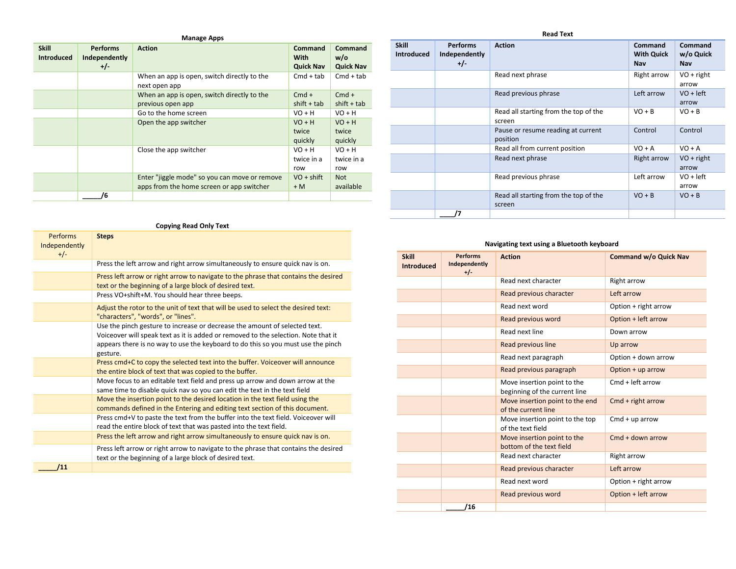| <b>Skill</b>      | <b>Performs</b> | <b>Action</b>                                 | Command          | Command          |
|-------------------|-----------------|-----------------------------------------------|------------------|------------------|
| <b>Introduced</b> |                 |                                               | With             | w/o              |
|                   | Independently   |                                               |                  |                  |
|                   | $+/-$           |                                               | <b>Quick Nav</b> | <b>Quick Nav</b> |
|                   |                 | When an app is open, switch directly to the   | $Cmd + tab$      | $Cmd + tab$      |
|                   |                 | next open app                                 |                  |                  |
|                   |                 | When an app is open, switch directly to the   | $Cmd +$          | $Cmd +$          |
|                   |                 | previous open app                             | $shift + tab$    | $shift + tab$    |
|                   |                 | Go to the home screen                         | $VO + H$         | $VO + H$         |
|                   |                 | Open the app switcher                         | $VO + H$         | $VO + H$         |
|                   |                 |                                               | twice            | twice            |
|                   |                 |                                               | quickly          | quickly          |
|                   |                 | Close the app switcher                        | $VO + H$         | $VO + H$         |
|                   |                 |                                               | twice in a       | twice in a       |
|                   |                 |                                               | row              | row              |
|                   |                 | Enter "jiggle mode" so you can move or remove | $VO + shift$     | <b>Not</b>       |
|                   |                 | apps from the home screen or app switcher     | $+ M$            | available        |
|                   | 6               |                                               |                  |                  |

| <b>Skill</b><br>Introduced | <b>Performs</b><br>Independently<br>$+/-$ | <b>Action</b>                                   | Command<br><b>With Quick</b><br>Nav | Command<br>w/o Quick<br>Nav |
|----------------------------|-------------------------------------------|-------------------------------------------------|-------------------------------------|-----------------------------|
|                            |                                           | Read next phrase                                | Right arrow                         | $VO + right$<br>arrow       |
|                            |                                           | Read previous phrase                            | Left arrow                          | $VO + left$<br>arrow        |
|                            |                                           | Read all starting from the top of the<br>screen | $VO + B$                            | $VO + B$                    |
|                            |                                           | Pause or resume reading at current<br>position  | Control                             | Control                     |
|                            |                                           | Read all from current position                  | $VO + A$                            | $VO + A$                    |
|                            |                                           | Read next phrase                                | Right arrow                         | $VO + right$<br>arrow       |
|                            |                                           | Read previous phrase                            | Left arrow                          | $VO + left$<br>arrow        |
|                            |                                           | Read all starting from the top of the<br>screen | $VO + B$                            | $VO + B$                    |
|                            |                                           |                                                 |                                     |                             |

## **Navigating text using a Bluetooth keyboard**

| <b>Skill</b><br><b>Introduced</b> | <b>Performs</b><br>Independently<br>$+/-$ | <b>Action</b>                                                | <b>Command w/o Quick Nav</b> |
|-----------------------------------|-------------------------------------------|--------------------------------------------------------------|------------------------------|
|                                   |                                           | Read next character                                          | Right arrow                  |
|                                   |                                           | Read previous character                                      | Left arrow                   |
|                                   |                                           | Read next word                                               | Option + right arrow         |
|                                   |                                           | Read previous word                                           | Option + left arrow          |
|                                   |                                           | Read next line                                               | Down arrow                   |
|                                   |                                           | Read previous line                                           | Up arrow                     |
|                                   |                                           | Read next paragraph                                          | Option + down arrow          |
|                                   |                                           | Read previous paragraph                                      | Option + up arrow            |
|                                   |                                           | Move insertion point to the<br>beginning of the current line | Cmd + left arrow             |
|                                   |                                           | Move insertion point to the end<br>of the current line       | Cmd + right arrow            |
|                                   |                                           | Move insertion point to the top<br>of the text field         | $Cmd + up$ arrow             |
|                                   |                                           | Move insertion point to the<br>bottom of the text field      | Cmd + down arrow             |
|                                   |                                           | Read next character                                          | <b>Right arrow</b>           |
|                                   |                                           | Read previous character                                      | Left arrow                   |
|                                   |                                           | Read next word                                               | Option + right arrow         |
|                                   |                                           | Read previous word                                           | Option + left arrow          |
|                                   | /16                                       |                                                              |                              |

## **Copying Read Only Text**

| Performs      | <b>Steps</b>                                                                                                                                                                                                                                                     |
|---------------|------------------------------------------------------------------------------------------------------------------------------------------------------------------------------------------------------------------------------------------------------------------|
| Independently |                                                                                                                                                                                                                                                                  |
| $+/-$         |                                                                                                                                                                                                                                                                  |
|               | Press the left arrow and right arrow simultaneously to ensure quick nav is on.                                                                                                                                                                                   |
|               | Press left arrow or right arrow to navigate to the phrase that contains the desired                                                                                                                                                                              |
|               | text or the beginning of a large block of desired text.                                                                                                                                                                                                          |
|               | Press VO+shift+M. You should hear three beeps.                                                                                                                                                                                                                   |
|               | Adjust the rotor to the unit of text that will be used to select the desired text:<br>"characters", "words", or "lines".                                                                                                                                         |
|               | Use the pinch gesture to increase or decrease the amount of selected text.<br>Voiceover will speak text as it is added or removed to the selection. Note that it<br>appears there is no way to use the keyboard to do this so you must use the pinch<br>gesture. |
|               | Press cmd+C to copy the selected text into the buffer. Voiceover will announce<br>the entire block of text that was copied to the buffer.                                                                                                                        |
|               | Move focus to an editable text field and press up arrow and down arrow at the<br>same time to disable quick nav so you can edit the text in the text field                                                                                                       |
|               | Move the insertion point to the desired location in the text field using the<br>commands defined in the Entering and editing text section of this document.                                                                                                      |
|               | Press cmd+V to paste the text from the buffer into the text field. Voiceover will<br>read the entire block of text that was pasted into the text field.                                                                                                          |
|               | Press the left arrow and right arrow simultaneously to ensure quick nav is on.                                                                                                                                                                                   |
|               | Press left arrow or right arrow to navigate to the phrase that contains the desired<br>text or the beginning of a large block of desired text.                                                                                                                   |
| 111           |                                                                                                                                                                                                                                                                  |

#### **Read Text**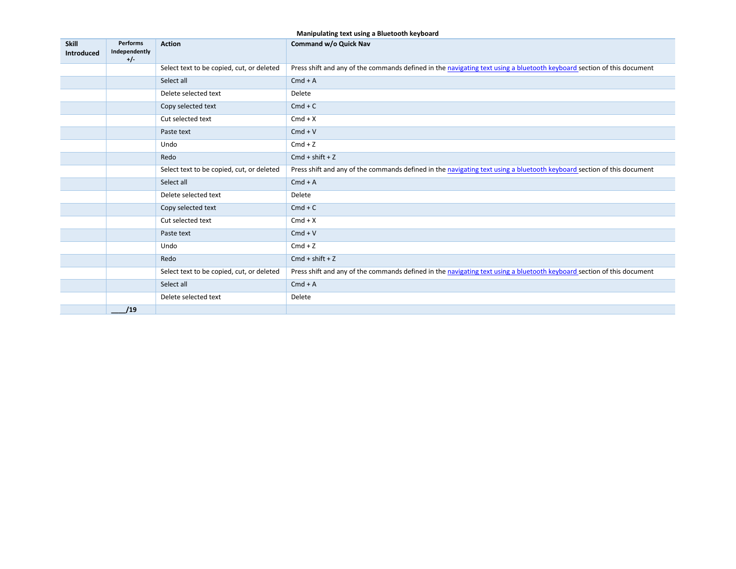## **Manipulating text using a Bluetooth keyboard**

| <b>Skill</b><br>Introduced | Performs<br>Independently<br>$+/-$ | <b>Action</b>                             | <b>Command w/o Quick Nav</b>                                                                                           |
|----------------------------|------------------------------------|-------------------------------------------|------------------------------------------------------------------------------------------------------------------------|
|                            |                                    | Select text to be copied, cut, or deleted | Press shift and any of the commands defined in the navigating text using a bluetooth keyboard section of this document |
|                            |                                    | Select all                                | $Cmd + A$                                                                                                              |
|                            |                                    | Delete selected text                      | Delete                                                                                                                 |
|                            |                                    | Copy selected text                        | $Cmd + C$                                                                                                              |
|                            |                                    | Cut selected text                         | $Cmd+X$                                                                                                                |
|                            |                                    | Paste text                                | $Cmd + V$                                                                                                              |
|                            |                                    | Undo                                      | $Cmd + Z$                                                                                                              |
|                            |                                    | Redo                                      | $Cmd + shift + Z$                                                                                                      |
|                            |                                    | Select text to be copied, cut, or deleted | Press shift and any of the commands defined in the navigating text using a bluetooth keyboard section of this document |
|                            |                                    | Select all                                | $Cmd + A$                                                                                                              |
|                            |                                    | Delete selected text                      | Delete                                                                                                                 |
|                            |                                    | Copy selected text                        | $Cmd + C$                                                                                                              |
|                            |                                    | Cut selected text                         | $Cmd+X$                                                                                                                |
|                            |                                    | Paste text                                | $Cmd + V$                                                                                                              |
|                            |                                    | Undo                                      | $Cmd + Z$                                                                                                              |
|                            |                                    | Redo                                      | $Cmd + shift + Z$                                                                                                      |
|                            |                                    | Select text to be copied, cut, or deleted | Press shift and any of the commands defined in the navigating text using a bluetooth keyboard section of this document |
|                            |                                    | Select all                                | $Cmd + A$                                                                                                              |
|                            |                                    | Delete selected text                      | Delete                                                                                                                 |
|                            | /19                                |                                           |                                                                                                                        |